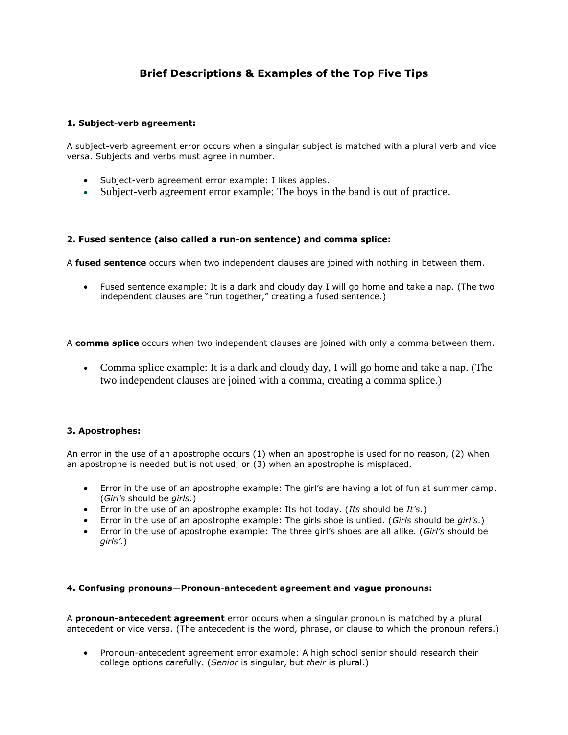# **Brief Descriptions & Examples of the Top Five Tips**

## **1. Subject-verb agreement:**

A subject-verb agreement error occurs when a singular subject is matched with a plural verb and vice versa. Subjects and verbs must agree in number.

- Subject-verb agreement error example: I likes apples.
- Subject-verb agreement error example: The boys in the band is out of practice.

## **2. Fused sentence (also called a run-on sentence) and comma splice:**

A **fused sentence** occurs when two independent clauses are joined with nothing in between them.

 Fused sentence example: It is a dark and cloudy day I will go home and take a nap. (The two independent clauses are "run together," creating a fused sentence.)

A **comma splice** occurs when two independent clauses are joined with only a comma between them.

 Comma splice example: It is a dark and cloudy day, I will go home and take a nap. (The two independent clauses are joined with a comma, creating a comma splice.)

## **3. Apostrophes:**

An error in the use of an apostrophe occurs (1) when an apostrophe is used for no reason, (2) when an apostrophe is needed but is not used, or (3) when an apostrophe is misplaced.

- Error in the use of an apostrophe example: The girl's are having a lot of fun at summer camp. (*Girl's* should be *girls*.)
- Error in the use of an apostrophe example: Its hot today. (*Its* should be *It's*.)
- Error in the use of an apostrophe example: The girls shoe is untied. (*Girls* should be *girl's*.)
- Error in the use of apostrophe example: The three girl's shoes are all alike. (*Girl's* should be *girls'*.)

#### **4. Confusing pronouns—Pronoun-antecedent agreement and vague pronouns:**

A **pronoun-antecedent agreement** error occurs when a singular pronoun is matched by a plural antecedent or vice versa. (The antecedent is the word, phrase, or clause to which the pronoun refers.)

 Pronoun-antecedent agreement error example: A high school senior should research their college options carefully. (*Senior* is singular, but *their* is plural.)